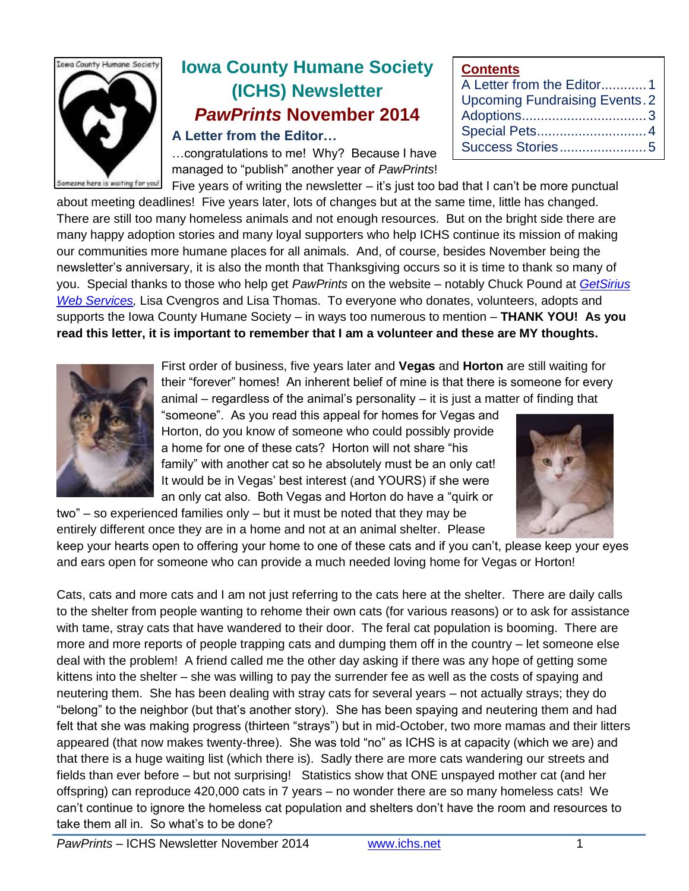

# **Iowa County Humane Society (ICHS) Newsletter** *PawPrints* **November 2014**

## **A Letter from the Editor…**

…congratulations to me! Why? Because I have managed to "publish" another year of *PawPrints*!

| <b>VUIRGHIS</b>                      |  |
|--------------------------------------|--|
| A Letter from the Editor1            |  |
| <b>Upcoming Fundraising Events.2</b> |  |
|                                      |  |
| Special Pets 4                       |  |
|                                      |  |

Five years of writing the newsletter – it's just too bad that I can't be more punctual about meeting deadlines! Five years later, lots of changes but at the same time, little has changed. There are still too many homeless animals and not enough resources. But on the bright side there are many happy adoption stories and many loyal supporters who help ICHS continue its mission of making our communities more humane places for all animals. And, of course, besides November being the newsletter's anniversary, it is also the month that Thanksgiving occurs so it is time to thank so many of you. Special thanks to those who help get *PawPrints* on the website – notably Chuck Pound at *[GetSirius](http://www.getsiriusweb.net/)  [Web Services,](http://www.getsiriusweb.net/)* Lisa Cvengros and Lisa Thomas. To everyone who donates, volunteers, adopts and supports the Iowa County Humane Society – in ways too numerous to mention – **THANK YOU! As you read this letter, it is important to remember that I am a volunteer and these are MY thoughts.**



First order of business, five years later and **Vegas** and **Horton** are still waiting for their "forever" homes! An inherent belief of mine is that there is someone for every animal – regardless of the animal's personality – it is just a matter of finding that

"someone". As you read this appeal for homes for Vegas and Horton, do you know of someone who could possibly provide a home for one of these cats? Horton will not share "his family" with another cat so he absolutely must be an only cat! It would be in Vegas' best interest (and YOURS) if she were an only cat also. Both Vegas and Horton do have a "quirk or



two" – so experienced families only – but it must be noted that they may be entirely different once they are in a home and not at an animal shelter. Please keep your hearts open to offering your home to one of these cats and if you can't, please keep your eyes

and ears open for someone who can provide a much needed loving home for Vegas or Horton!

Cats, cats and more cats and I am not just referring to the cats here at the shelter. There are daily calls to the shelter from people wanting to rehome their own cats (for various reasons) or to ask for assistance with tame, stray cats that have wandered to their door. The feral cat population is booming. There are more and more reports of people trapping cats and dumping them off in the country – let someone else deal with the problem! A friend called me the other day asking if there was any hope of getting some kittens into the shelter – she was willing to pay the surrender fee as well as the costs of spaying and neutering them. She has been dealing with stray cats for several years – not actually strays; they do "belong" to the neighbor (but that's another story). She has been spaying and neutering them and had felt that she was making progress (thirteen "strays") but in mid-October, two more mamas and their litters appeared (that now makes twenty-three). She was told "no" as ICHS is at capacity (which we are) and that there is a huge waiting list (which there is). Sadly there are more cats wandering our streets and fields than ever before – but not surprising! Statistics show that ONE unspayed mother cat (and her offspring) can reproduce 420,000 cats in 7 years – no wonder there are so many homeless cats! We can't continue to ignore the homeless cat population and shelters don't have the room and resources to take them all in. So what's to be done?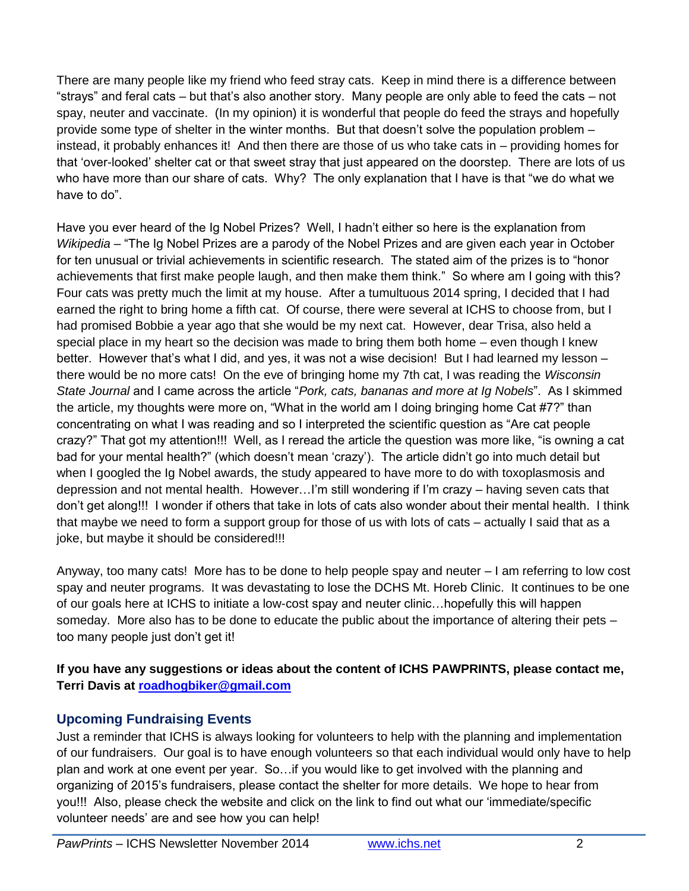There are many people like my friend who feed stray cats. Keep in mind there is a difference between "strays" and feral cats – but that's also another story. Many people are only able to feed the cats – not spay, neuter and vaccinate. (In my opinion) it is wonderful that people do feed the strays and hopefully provide some type of shelter in the winter months. But that doesn't solve the population problem – instead, it probably enhances it! And then there are those of us who take cats in – providing homes for that 'over-looked' shelter cat or that sweet stray that just appeared on the doorstep. There are lots of us who have more than our share of cats. Why? The only explanation that I have is that "we do what we have to do".

Have you ever heard of the Ig Nobel Prizes? Well, I hadn't either so here is the explanation from *Wikipedia* – "The Ig Nobel Prizes are a parody of the Nobel Prizes and are given each year in October for ten unusual or trivial achievements in scientific research. The stated aim of the prizes is to "honor achievements that first make people laugh, and then make them think." So where am I going with this? Four cats was pretty much the limit at my house. After a tumultuous 2014 spring, I decided that I had earned the right to bring home a fifth cat. Of course, there were several at ICHS to choose from, but I had promised Bobbie a year ago that she would be my next cat. However, dear Trisa, also held a special place in my heart so the decision was made to bring them both home – even though I knew better. However that's what I did, and yes, it was not a wise decision! But I had learned my lesson – there would be no more cats! On the eve of bringing home my 7th cat, I was reading the *Wisconsin State Journal* and I came across the article "*Pork, cats, bananas and more at Ig Nobels*". As I skimmed the article, my thoughts were more on, "What in the world am I doing bringing home Cat #7?" than concentrating on what I was reading and so I interpreted the scientific question as "Are cat people crazy?" That got my attention!!! Well, as I reread the article the question was more like, "is owning a cat bad for your mental health?" (which doesn't mean 'crazy'). The article didn't go into much detail but when I googled the Ig Nobel awards, the study appeared to have more to do with toxoplasmosis and depression and not mental health. However…I'm still wondering if I'm crazy – having seven cats that don't get along!!! I wonder if others that take in lots of cats also wonder about their mental health. I think that maybe we need to form a support group for those of us with lots of cats – actually I said that as a joke, but maybe it should be considered!!!

Anyway, too many cats! More has to be done to help people spay and neuter – I am referring to low cost spay and neuter programs. It was devastating to lose the DCHS Mt. Horeb Clinic. It continues to be one of our goals here at ICHS to initiate a low-cost spay and neuter clinic…hopefully this will happen someday. More also has to be done to educate the public about the importance of altering their pets – too many people just don't get it!

**If you have any suggestions or ideas about the content of ICHS PAWPRINTS, please contact me, Terri Davis at [roadhogbiker@gmail.com](mailto:roadhogbiker@gmail.com)**

## **Upcoming Fundraising Events**

Just a reminder that ICHS is always looking for volunteers to help with the planning and implementation of our fundraisers. Our goal is to have enough volunteers so that each individual would only have to help plan and work at one event per year. So…if you would like to get involved with the planning and organizing of 2015's fundraisers, please contact the shelter for more details. We hope to hear from you!!! Also, please check the website and click on the link to find out what our 'immediate/specific volunteer needs' are and see how you can help!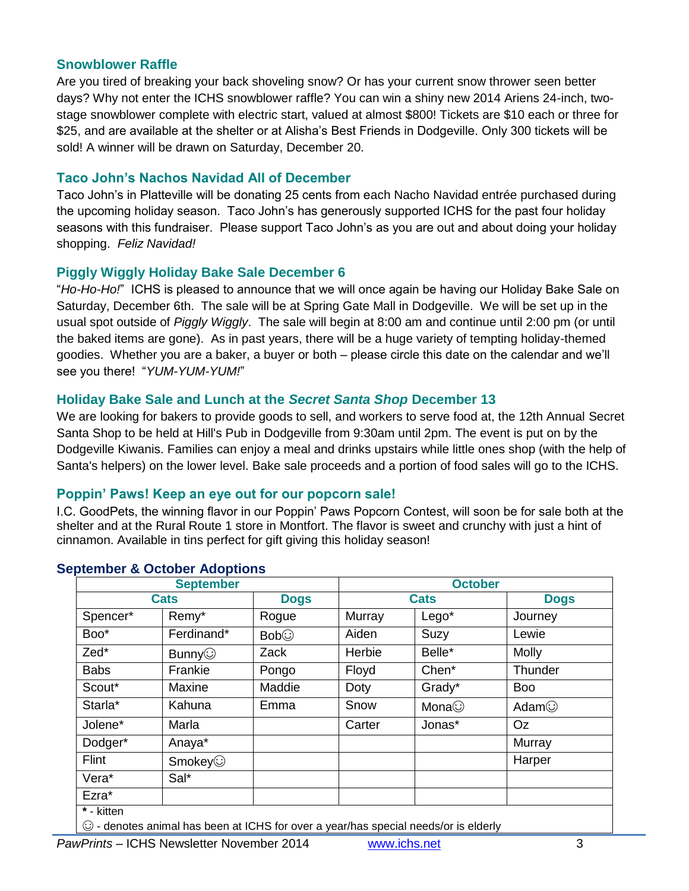#### **Snowblower Raffle**

Are you tired of breaking your back shoveling snow? Or has your current snow thrower seen better days? Why not enter the ICHS snowblower raffle? You can win a shiny new 2014 Ariens 24-inch, twostage snowblower complete with electric start, valued at almost \$800! Tickets are \$10 each or three for \$25, and are available at the shelter or at Alisha's Best Friends in Dodgeville. Only 300 tickets will be sold! A winner will be drawn on Saturday, December 20.

#### **Taco John's Nachos Navidad All of December**

Taco John's in Platteville will be donating 25 cents from each Nacho Navidad entrée purchased during the upcoming holiday season. Taco John's has generously supported ICHS for the past four holiday seasons with this fundraiser. Please support Taco John's as you are out and about doing your holiday shopping. *Feliz Navidad!*

## **Piggly Wiggly Holiday Bake Sale December 6**

"*Ho-Ho-Ho!*" ICHS is pleased to announce that we will once again be having our Holiday Bake Sale on Saturday, December 6th. The sale will be at Spring Gate Mall in Dodgeville. We will be set up in the usual spot outside of *Piggly Wiggly*. The sale will begin at 8:00 am and continue until 2:00 pm (or until the baked items are gone). As in past years, there will be a huge variety of tempting holiday-themed goodies. Whether you are a baker, a buyer or both – please circle this date on the calendar and we'll see you there! "*YUM-YUM-YUM!*"

## **Holiday Bake Sale and Lunch at the** *Secret Santa Shop* **December 13**

We are looking for bakers to provide goods to sell, and workers to serve food at, the 12th Annual Secret Santa Shop to be held at Hill's Pub in Dodgeville from 9:30am until 2pm. The event is put on by the Dodgeville Kiwanis. Families can enjoy a meal and drinks upstairs while little ones shop (with the help of Santa's helpers) on the lower level. Bake sale proceeds and a portion of food sales will go to the ICHS.

#### **Poppin' Paws! Keep an eye out for our popcorn sale!**

I.C. GoodPets, the winning flavor in our Poppin' Paws Popcorn Contest, will soon be for sale both at the shelter and at the Rural Route 1 store in Montfort. The flavor is sweet and crunchy with just a hint of cinnamon. Available in tins perfect for gift giving this holiday season!

| <b>September</b> |               | <b>October</b> |             |              |              |
|------------------|---------------|----------------|-------------|--------------|--------------|
| <b>Cats</b>      |               | <b>Dogs</b>    | <b>Cats</b> |              | <b>Dogs</b>  |
| Spencer*         | Remy*         | Rogue          | Murray      | Lego*        | Journey      |
| Boo*             | Ferdinand*    | Bob            | Aiden       | Suzy         | Lewie        |
| Zed*             | Bunny $\odot$ | Zack           | Herbie      | Belle*       | <b>Molly</b> |
| <b>Babs</b>      | Frankie       | Pongo          | Floyd       | Chen*        | Thunder      |
| Scout*           | Maxine        | Maddie         | Doty        | Grady*       | <b>Boo</b>   |
| Starla*          | Kahuna        | Emma           | Snow        | Mona $\odot$ | Adam $\odot$ |
| Jolene*          | Marla         |                | Carter      | Jonas*       | Oz           |
| Dodger*          | Anaya*        |                |             |              | Murray       |
| Flint            | Smokey        |                |             |              | Harper       |
| Vera*            | Sal*          |                |             |              |              |
| Ezra*            |               |                |             |              |              |
| * - kitten       |               |                |             |              |              |

#### **September & October Adoptions**

 $\mid$   $\odot$  - denotes animal has been at ICHS for over a year/has special needs/or is elderly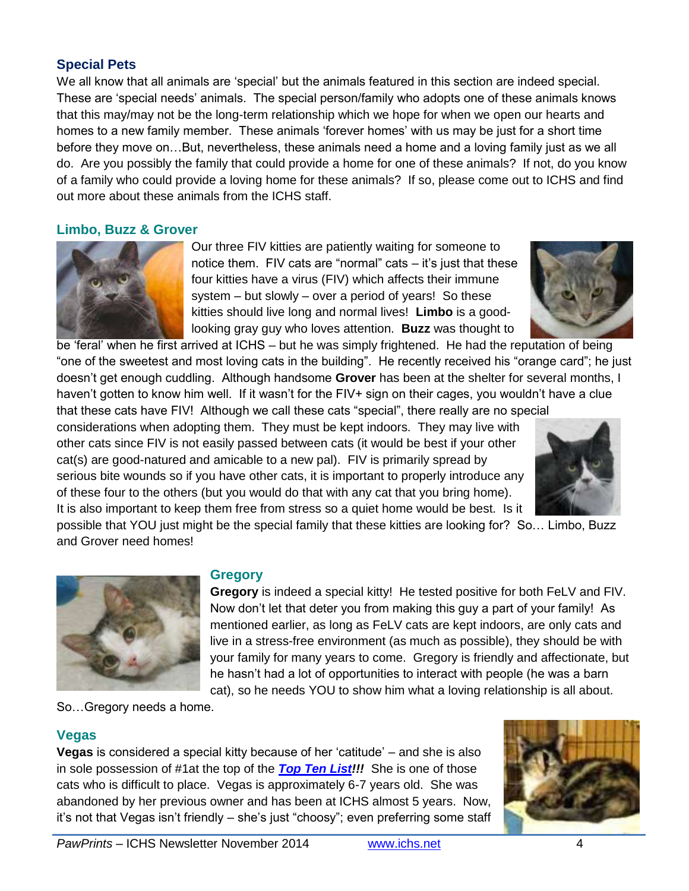## **Special Pets**

We all know that all animals are 'special' but the animals featured in this section are indeed special. These are 'special needs' animals. The special person/family who adopts one of these animals knows that this may/may not be the long-term relationship which we hope for when we open our hearts and homes to a new family member. These animals 'forever homes' with us may be just for a short time before they move on…But, nevertheless, these animals need a home and a loving family just as we all do. Are you possibly the family that could provide a home for one of these animals? If not, do you know of a family who could provide a loving home for these animals? If so, please come out to ICHS and find out more about these animals from the ICHS staff.

#### **Limbo, Buzz & Grover**



Our three FIV kitties are patiently waiting for someone to notice them. FIV cats are "normal" cats – it's just that these four kitties have a virus (FIV) which affects their immune system – but slowly – over a period of years! So these kitties should live long and normal lives! **Limbo** is a goodlooking gray guy who loves attention. **Buzz** was thought to

be 'feral' when he first arrived at ICHS – but he was simply frightened. He had the reputation of being "one of the sweetest and most loving cats in the building". He recently received his "orange card"; he just doesn't get enough cuddling. Although handsome **Grover** has been at the shelter for several months, I haven't gotten to know him well. If it wasn't for the FIV+ sign on their cages, you wouldn't have a clue

that these cats have FIV! Although we call these cats "special", there really are no special considerations when adopting them. They must be kept indoors. They may live with other cats since FIV is not easily passed between cats (it would be best if your other cat(s) are good-natured and amicable to a new pal). FIV is primarily spread by serious bite wounds so if you have other cats, it is important to properly introduce any of these four to the others (but you would do that with any cat that you bring home). It is also important to keep them free from stress so a quiet home would be best. Is it



possible that YOU just might be the special family that these kitties are looking for? So… Limbo, Buzz and Grover need homes!



So…Gregory needs a home.

## **Vegas**

**Vegas** is considered a special kitty because of her 'catitude' – and she is also in sole possession of #1at the top of the *[Top Ten List!](http://www.ichs.net/files/1214/1289/6999/ICHS_Top_Ten_List_Oct_2014_v2.pdf)!!* She is one of those cats who is difficult to place. Vegas is approximately 6-7 years old. She was abandoned by her previous owner and has been at ICHS almost 5 years. Now, it's not that Vegas isn't friendly – she's just "choosy"; even preferring some staff

**Gregory**



**Gregory** is indeed a special kitty! He tested positive for both FeLV and FIV. Now don't let that deter you from making this guy a part of your family! As mentioned earlier, as long as FeLV cats are kept indoors, are only cats and live in a stress-free environment (as much as possible), they should be with your family for many years to come. Gregory is friendly and affectionate, but he hasn't had a lot of opportunities to interact with people (he was a barn cat), so he needs YOU to show him what a loving relationship is all about.